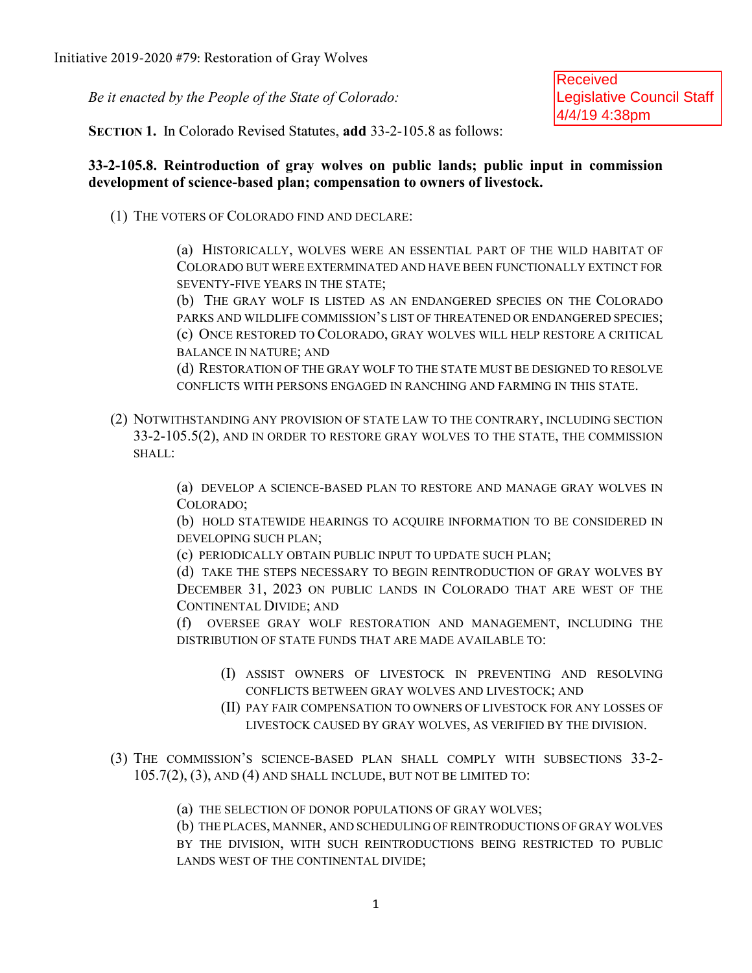*Be it enacted by the People of the State of Colorado:* 

Received Legislative Council Staff 4/4/19 4:38pm

**SECTION 1.** In Colorado Revised Statutes, **add** 33-2-105.8 as follows:

## **33-2-105.8. Reintroduction of gray wolves on public lands; public input in commission development of science-based plan; compensation to owners of livestock.**

(1) THE VOTERS OF COLORADO FIND AND DECLARE:

(a) HISTORICALLY, WOLVES WERE AN ESSENTIAL PART OF THE WILD HABITAT OF COLORADO BUT WERE EXTERMINATED AND HAVE BEEN FUNCTIONALLY EXTINCT FOR SEVENTY-FIVE YEARS IN THE STATE;

(b) THE GRAY WOLF IS LISTED AS AN ENDANGERED SPECIES ON THE COLORADO PARKS AND WILDLIFE COMMISSION'S LIST OF THREATENED OR ENDANGERED SPECIES; (c) ONCE RESTORED TO COLORADO, GRAY WOLVES WILL HELP RESTORE A CRITICAL BALANCE IN NATURE; AND

(d) RESTORATION OF THE GRAY WOLF TO THE STATE MUST BE DESIGNED TO RESOLVE CONFLICTS WITH PERSONS ENGAGED IN RANCHING AND FARMING IN THIS STATE.

(2) NOTWITHSTANDING ANY PROVISION OF STATE LAW TO THE CONTRARY, INCLUDING SECTION 33-2-105.5(2), AND IN ORDER TO RESTORE GRAY WOLVES TO THE STATE, THE COMMISSION SHALL:

> (a) DEVELOP A SCIENCE-BASED PLAN TO RESTORE AND MANAGE GRAY WOLVES IN COLORADO;

> (b) HOLD STATEWIDE HEARINGS TO ACQUIRE INFORMATION TO BE CONSIDERED IN DEVELOPING SUCH PLAN;

(c) PERIODICALLY OBTAIN PUBLIC INPUT TO UPDATE SUCH PLAN;

(d) TAKE THE STEPS NECESSARY TO BEGIN REINTRODUCTION OF GRAY WOLVES BY DECEMBER 31, 2023 ON PUBLIC LANDS IN COLORADO THAT ARE WEST OF THE CONTINENTAL DIVIDE; AND

(f) OVERSEE GRAY WOLF RESTORATION AND MANAGEMENT, INCLUDING THE DISTRIBUTION OF STATE FUNDS THAT ARE MADE AVAILABLE TO:

- (I) ASSIST OWNERS OF LIVESTOCK IN PREVENTING AND RESOLVING CONFLICTS BETWEEN GRAY WOLVES AND LIVESTOCK; AND
- (II) PAY FAIR COMPENSATION TO OWNERS OF LIVESTOCK FOR ANY LOSSES OF LIVESTOCK CAUSED BY GRAY WOLVES, AS VERIFIED BY THE DIVISION.
- (3) THE COMMISSION'S SCIENCE-BASED PLAN SHALL COMPLY WITH SUBSECTIONS 33-2- 105.7(2), (3), AND (4) AND SHALL INCLUDE, BUT NOT BE LIMITED TO:
	- (a) THE SELECTION OF DONOR POPULATIONS OF GRAY WOLVES;

(b) THE PLACES, MANNER, AND SCHEDULING OF REINTRODUCTIONS OF GRAY WOLVES BY THE DIVISION, WITH SUCH REINTRODUCTIONS BEING RESTRICTED TO PUBLIC LANDS WEST OF THE CONTINENTAL DIVIDE;